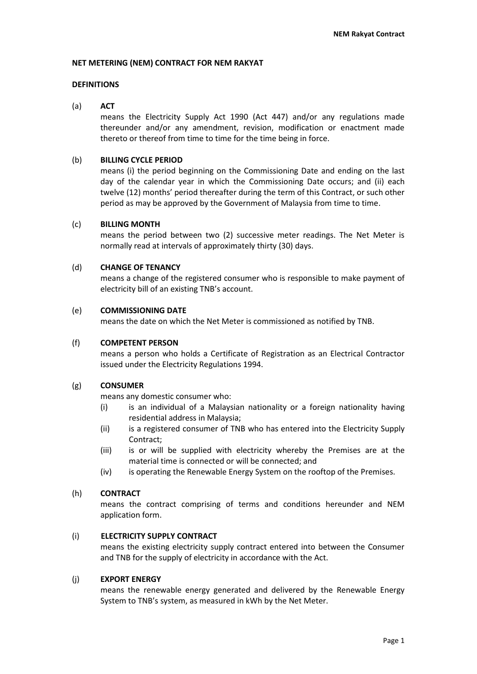### **NET METERING (NEM) CONTRACT FOR NEM RAKYAT**

### **DEFINITIONS**

### (a) **ACT**

means the Electricity Supply Act 1990 (Act 447) and/or any regulations made thereunder and/or any amendment, revision, modification or enactment made thereto or thereof from time to time for the time being in force.

### (b) **BILLING CYCLE PERIOD**

means (i) the period beginning on the Commissioning Date and ending on the last day of the calendar year in which the Commissioning Date occurs; and (ii) each twelve (12) months' period thereafter during the term of this Contract, or such other period as may be approved by the Government of Malaysia from time to time.

### (c) **BILLING MONTH**

means the period between two (2) successive meter readings. The Net Meter is normally read at intervals of approximately thirty (30) days.

### (d) **CHANGE OF TENANCY**

means a change of the registered consumer who is responsible to make payment of electricity bill of an existing TNB's account.

### (e) **COMMISSIONING DATE**

means the date on which the Net Meter is commissioned as notified by TNB.

#### (f) **COMPETENT PERSON**

means a person who holds a Certificate of Registration as an Electrical Contractor issued under the Electricity Regulations 1994.

#### (g) **CONSUMER**

means any domestic consumer who:

- (i) is an individual of a Malaysian nationality or a foreign nationality having residential address in Malaysia;
- (ii) is a registered consumer of TNB who has entered into the Electricity Supply Contract;
- (iii) is or will be supplied with electricity whereby the Premises are at the material time is connected or will be connected; and
- (iv) is operating the Renewable Energy System on the rooftop of the Premises.

### (h) **CONTRACT**

means the contract comprising of terms and conditions hereunder and NEM application form.

### (i) **ELECTRICITY SUPPLY CONTRACT**

means the existing electricity supply contract entered into between the Consumer and TNB for the supply of electricity in accordance with the Act.

#### (j) **EXPORT ENERGY**

means the renewable energy generated and delivered by the Renewable Energy System to TNB's system, as measured in kWh by the Net Meter.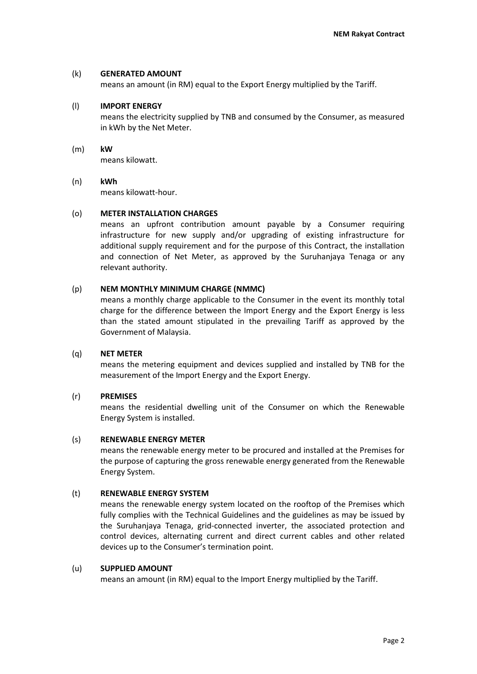### (k) **GENERATED AMOUNT**

means an amount (in RM) equal to the Export Energy multiplied by the Tariff.

### (l) **IMPORT ENERGY**

means the electricity supplied by TNB and consumed by the Consumer, as measured in kWh by the Net Meter.

(m) **kW** means kilowatt.

## (n) **kWh** means kilowatt-hour.

### (o) **METER INSTALLATION CHARGES**

means an upfront contribution amount payable by a Consumer requiring infrastructure for new supply and/or upgrading of existing infrastructure for additional supply requirement and for the purpose of this Contract, the installation and connection of Net Meter, as approved by the Suruhanjaya Tenaga or any relevant authority.

### (p) **NEM MONTHLY MINIMUM CHARGE (NMMC)**

means a monthly charge applicable to the Consumer in the event its monthly total charge for the difference between the Import Energy and the Export Energy is less than the stated amount stipulated in the prevailing Tariff as approved by the Government of Malaysia.

#### (q) **NET METER**

means the metering equipment and devices supplied and installed by TNB for the measurement of the Import Energy and the Export Energy.

#### (r) **PREMISES**

means the residential dwelling unit of the Consumer on which the Renewable Energy System is installed.

#### (s) **RENEWABLE ENERGY METER**

means the renewable energy meter to be procured and installed at the Premises for the purpose of capturing the gross renewable energy generated from the Renewable Energy System.

### (t) **RENEWABLE ENERGY SYSTEM**

means the renewable energy system located on the rooftop of the Premises which fully complies with the Technical Guidelines and the guidelines as may be issued by the Suruhanjaya Tenaga, grid-connected inverter, the associated protection and control devices, alternating current and direct current cables and other related devices up to the Consumer's termination point.

#### (u) **SUPPLIED AMOUNT**

means an amount (in RM) equal to the Import Energy multiplied by the Tariff.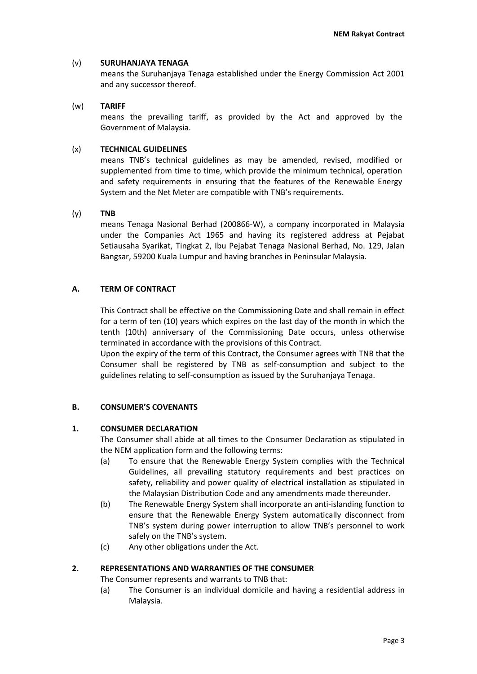## (v) **SURUHANJAYA TENAGA**

means the Suruhanjaya Tenaga established under the Energy Commission Act 2001 and any successor thereof.

## (w) **TARIFF**

means the prevailing tariff, as provided by the Act and approved by the Government of Malaysia.

# (x) **TECHNICAL GUIDELINES**

means TNB's technical guidelines as may be amended, revised, modified or supplemented from time to time, which provide the minimum technical, operation and safety requirements in ensuring that the features of the Renewable Energy System and the Net Meter are compatible with TNB's requirements.

### (y) **TNB**

means Tenaga Nasional Berhad (200866-W), a company incorporated in Malaysia under the Companies Act 1965 and having its registered address at Pejabat Setiausaha Syarikat, Tingkat 2, Ibu Pejabat Tenaga Nasional Berhad, No. 129, Jalan Bangsar, 59200 Kuala Lumpur and having branches in Peninsular Malaysia.

# **A. TERM OF CONTRACT**

This Contract shall be effective on the Commissioning Date and shall remain in effect for a term of ten (10) years which expires on the last day of the month in which the tenth (10th) anniversary of the Commissioning Date occurs, unless otherwise terminated in accordance with the provisions of this Contract.

Upon the expiry of the term of this Contract, the Consumer agrees with TNB that the Consumer shall be registered by TNB as self-consumption and subject to the guidelines relating to self-consumption as issued by the Suruhanjaya Tenaga.

# **B. CONSUMER'S COVENANTS**

### **1. CONSUMER DECLARATION**

The Consumer shall abide at all times to the Consumer Declaration as stipulated in the NEM application form and the following terms:

- (a) To ensure that the Renewable Energy System complies with the Technical Guidelines, all prevailing statutory requirements and best practices on safety, reliability and power quality of electrical installation as stipulated in the Malaysian Distribution Code and any amendments made thereunder.
- (b) The Renewable Energy System shall incorporate an anti-islanding function to ensure that the Renewable Energy System automatically disconnect from TNB's system during power interruption to allow TNB's personnel to work safely on the TNB's system.
- (c) Any other obligations under the Act.

### **2. REPRESENTATIONS AND WARRANTIES OF THE CONSUMER**

The Consumer represents and warrants to TNB that:

(a) The Consumer is an individual domicile and having a residential address in Malaysia.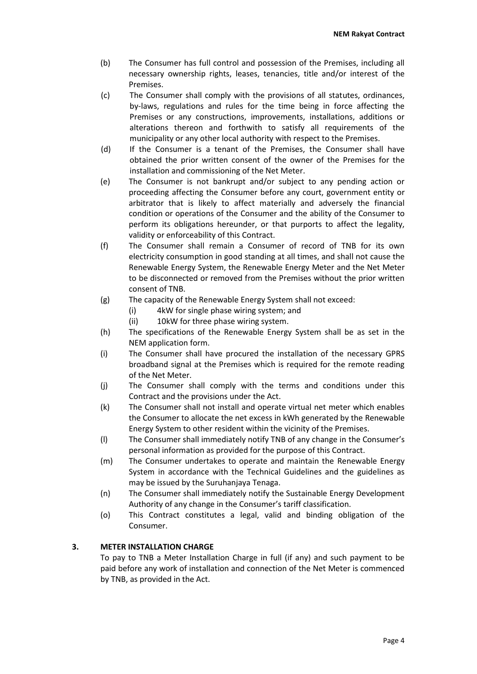- (b) The Consumer has full control and possession of the Premises, including all necessary ownership rights, leases, tenancies, title and/or interest of the Premises.
- (c) The Consumer shall comply with the provisions of all statutes, ordinances, by-laws, regulations and rules for the time being in force affecting the Premises or any constructions, improvements, installations, additions or alterations thereon and forthwith to satisfy all requirements of the municipality or any other local authority with respect to the Premises.
- (d) If the Consumer is a tenant of the Premises, the Consumer shall have obtained the prior written consent of the owner of the Premises for the installation and commissioning of the Net Meter.
- (e) The Consumer is not bankrupt and/or subject to any pending action or proceeding affecting the Consumer before any court, government entity or arbitrator that is likely to affect materially and adversely the financial condition or operations of the Consumer and the ability of the Consumer to perform its obligations hereunder, or that purports to affect the legality, validity or enforceability of this Contract.
- (f) The Consumer shall remain a Consumer of record of TNB for its own electricity consumption in good standing at all times, and shall not cause the Renewable Energy System, the Renewable Energy Meter and the Net Meter to be disconnected or removed from the Premises without the prior written consent of TNB.
- (g) The capacity of the Renewable Energy System shall not exceed:
	- (i) 4kW for single phase wiring system; and
	- (ii) 10kW for three phase wiring system.
- (h) The specifications of the Renewable Energy System shall be as set in the NEM application form.
- (i) The Consumer shall have procured the installation of the necessary GPRS broadband signal at the Premises which is required for the remote reading of the Net Meter.
- (j) The Consumer shall comply with the terms and conditions under this Contract and the provisions under the Act.
- (k) The Consumer shall not install and operate virtual net meter which enables the Consumer to allocate the net excess in kWh generated by the Renewable Energy System to other resident within the vicinity of the Premises.
- (l) The Consumer shall immediately notify TNB of any change in the Consumer's personal information as provided for the purpose of this Contract.
- (m) The Consumer undertakes to operate and maintain the Renewable Energy System in accordance with the Technical Guidelines and the guidelines as may be issued by the Suruhanjaya Tenaga.
- (n) The Consumer shall immediately notify the Sustainable Energy Development Authority of any change in the Consumer's tariff classification.
- (o) This Contract constitutes a legal, valid and binding obligation of the Consumer.

# **3. METER INSTALLATION CHARGE**

To pay to TNB a Meter Installation Charge in full (if any) and such payment to be paid before any work of installation and connection of the Net Meter is commenced by TNB, as provided in the Act.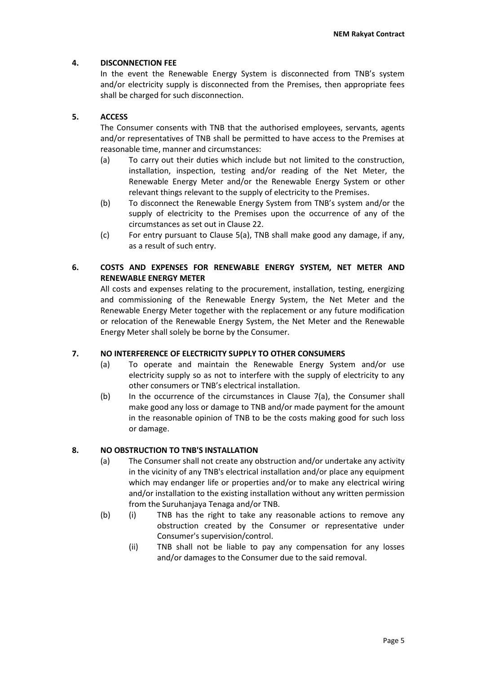# **4. DISCONNECTION FEE**

In the event the Renewable Energy System is disconnected from TNB's system and/or electricity supply is disconnected from the Premises, then appropriate fees shall be charged for such disconnection.

# **5. ACCESS**

The Consumer consents with TNB that the authorised employees, servants, agents and/or representatives of TNB shall be permitted to have access to the Premises at reasonable time, manner and circumstances:

- (a) To carry out their duties which include but not limited to the construction, installation, inspection, testing and/or reading of the Net Meter, the Renewable Energy Meter and/or the Renewable Energy System or other relevant things relevant to the supply of electricity to the Premises.
- (b) To disconnect the Renewable Energy System from TNB's system and/or the supply of electricity to the Premises upon the occurrence of any of the circumstances as set out in Clause 22.
- (c) For entry pursuant to Clause 5(a), TNB shall make good any damage, if any, as a result of such entry.

# **6. COSTS AND EXPENSES FOR RENEWABLE ENERGY SYSTEM, NET METER AND RENEWABLE ENERGY METER**

All costs and expenses relating to the procurement, installation, testing, energizing and commissioning of the Renewable Energy System, the Net Meter and the Renewable Energy Meter together with the replacement or any future modification or relocation of the Renewable Energy System, the Net Meter and the Renewable Energy Meter shall solely be borne by the Consumer.

### **7. NO INTERFERENCE OF ELECTRICITY SUPPLY TO OTHER CONSUMERS**

- (a) To operate and maintain the Renewable Energy System and/or use electricity supply so as not to interfere with the supply of electricity to any other consumers or TNB's electrical installation.
- (b) In the occurrence of the circumstances in Clause 7(a), the Consumer shall make good any loss or damage to TNB and/or made payment for the amount in the reasonable opinion of TNB to be the costs making good for such loss or damage.

# **8. NO OBSTRUCTION TO TNB'S INSTALLATION**

- (a) The Consumer shall not create any obstruction and/or undertake any activity in the vicinity of any TNB's electrical installation and/or place any equipment which may endanger life or properties and/or to make any electrical wiring and/or installation to the existing installation without any written permission from the Suruhanjaya Tenaga and/or TNB.
- (b) (i) TNB has the right to take any reasonable actions to remove any obstruction created by the Consumer or representative under Consumer's supervision/control.
	- (ii) TNB shall not be liable to pay any compensation for any losses and/or damages to the Consumer due to the said removal.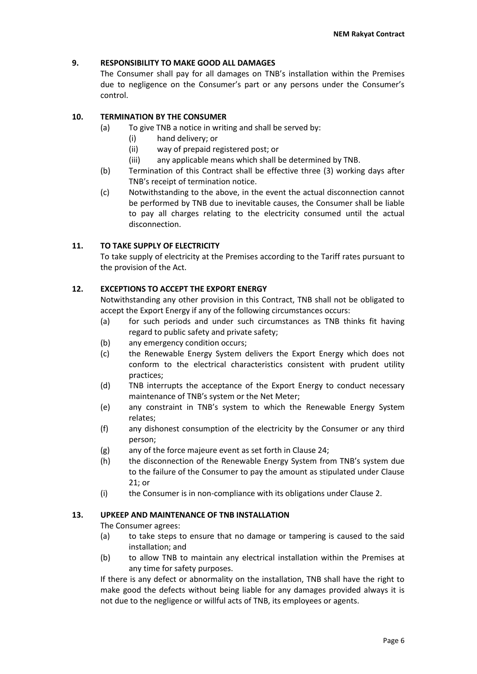# **9. RESPONSIBILITY TO MAKE GOOD ALL DAMAGES**

The Consumer shall pay for all damages on TNB's installation within the Premises due to negligence on the Consumer's part or any persons under the Consumer's control.

# **10. TERMINATION BY THE CONSUMER**

- (a) To give TNB a notice in writing and shall be served by:
	- (i) hand delivery; or
	- (ii) way of prepaid registered post; or
	- (iii) any applicable means which shall be determined by TNB.
- (b) Termination of this Contract shall be effective three (3) working days after TNB's receipt of termination notice.
- (c) Notwithstanding to the above, in the event the actual disconnection cannot be performed by TNB due to inevitable causes, the Consumer shall be liable to pay all charges relating to the electricity consumed until the actual disconnection.

# **11. TO TAKE SUPPLY OF ELECTRICITY**

To take supply of electricity at the Premises according to the Tariff rates pursuant to the provision of the Act.

### **12. EXCEPTIONS TO ACCEPT THE EXPORT ENERGY**

Notwithstanding any other provision in this Contract, TNB shall not be obligated to accept the Export Energy if any of the following circumstances occurs:

- (a) for such periods and under such circumstances as TNB thinks fit having regard to public safety and private safety;
- (b) any emergency condition occurs;
- (c) the Renewable Energy System delivers the Export Energy which does not conform to the electrical characteristics consistent with prudent utility practices;
- (d) TNB interrupts the acceptance of the Export Energy to conduct necessary maintenance of TNB's system or the Net Meter;
- (e) any constraint in TNB's system to which the Renewable Energy System relates;
- (f) any dishonest consumption of the electricity by the Consumer or any third person;
- (g) any of the force majeure event as set forth in Clause 24;
- (h) the disconnection of the Renewable Energy System from TNB's system due to the failure of the Consumer to pay the amount as stipulated under Clause 21; or
- (i) the Consumer is in non-compliance with its obligations under Clause 2.

### **13. UPKEEP AND MAINTENANCE OF TNB INSTALLATION**

The Consumer agrees:

- (a) to take steps to ensure that no damage or tampering is caused to the said installation; and
- (b) to allow TNB to maintain any electrical installation within the Premises at any time for safety purposes.

If there is any defect or abnormality on the installation, TNB shall have the right to make good the defects without being liable for any damages provided always it is not due to the negligence or willful acts of TNB, its employees or agents.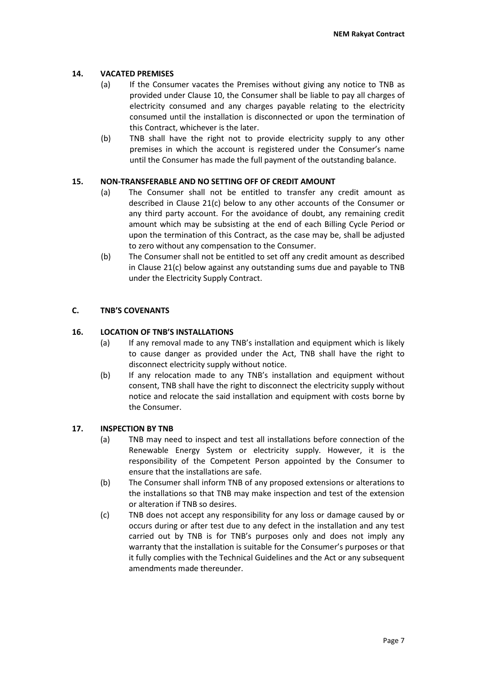# **14. VACATED PREMISES**

- (a) If the Consumer vacates the Premises without giving any notice to TNB as provided under Clause 10, the Consumer shall be liable to pay all charges of electricity consumed and any charges payable relating to the electricity consumed until the installation is disconnected or upon the termination of this Contract, whichever is the later.
- (b) TNB shall have the right not to provide electricity supply to any other premises in which the account is registered under the Consumer's name until the Consumer has made the full payment of the outstanding balance.

# **15. NON-TRANSFERABLE AND NO SETTING OFF OF CREDIT AMOUNT**

- (a) The Consumer shall not be entitled to transfer any credit amount as described in Clause 21(c) below to any other accounts of the Consumer or any third party account. For the avoidance of doubt, any remaining credit amount which may be subsisting at the end of each Billing Cycle Period or upon the termination of this Contract, as the case may be, shall be adjusted to zero without any compensation to the Consumer.
- (b) The Consumer shall not be entitled to set off any credit amount as described in Clause 21(c) below against any outstanding sums due and payable to TNB under the Electricity Supply Contract.

# **C. TNB'S COVENANTS**

# **16. LOCATION OF TNB'S INSTALLATIONS**

- (a) If any removal made to any TNB's installation and equipment which is likely to cause danger as provided under the Act, TNB shall have the right to disconnect electricity supply without notice.
- (b) If any relocation made to any TNB's installation and equipment without consent, TNB shall have the right to disconnect the electricity supply without notice and relocate the said installation and equipment with costs borne by the Consumer.

### **17. INSPECTION BY TNB**

- (a) TNB may need to inspect and test all installations before connection of the Renewable Energy System or electricity supply. However, it is the responsibility of the Competent Person appointed by the Consumer to ensure that the installations are safe.
- (b) The Consumer shall inform TNB of any proposed extensions or alterations to the installations so that TNB may make inspection and test of the extension or alteration if TNB so desires.
- (c) TNB does not accept any responsibility for any loss or damage caused by or occurs during or after test due to any defect in the installation and any test carried out by TNB is for TNB's purposes only and does not imply any warranty that the installation is suitable for the Consumer's purposes or that it fully complies with the Technical Guidelines and the Act or any subsequent amendments made thereunder.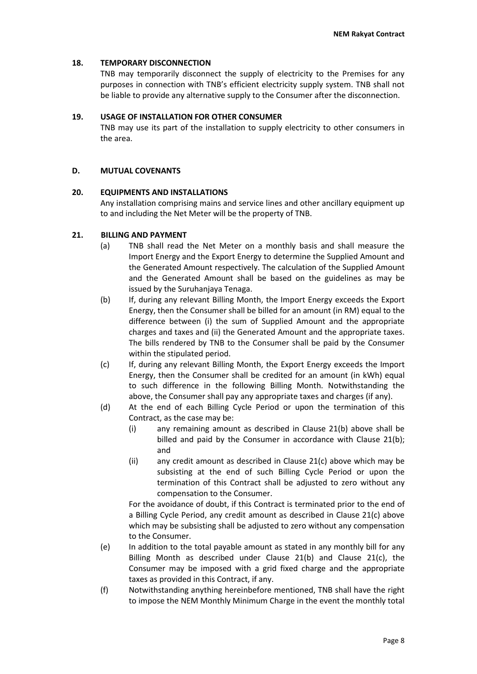# **18. TEMPORARY DISCONNECTION**

TNB may temporarily disconnect the supply of electricity to the Premises for any purposes in connection with TNB's efficient electricity supply system. TNB shall not be liable to provide any alternative supply to the Consumer after the disconnection.

## **19. USAGE OF INSTALLATION FOR OTHER CONSUMER**

TNB may use its part of the installation to supply electricity to other consumers in the area.

# **D. MUTUAL COVENANTS**

### **20. EQUIPMENTS AND INSTALLATIONS**

Any installation comprising mains and service lines and other ancillary equipment up to and including the Net Meter will be the property of TNB.

# **21. BILLING AND PAYMENT**

- (a) TNB shall read the Net Meter on a monthly basis and shall measure the Import Energy and the Export Energy to determine the Supplied Amount and the Generated Amount respectively. The calculation of the Supplied Amount and the Generated Amount shall be based on the guidelines as may be issued by the Suruhanjaya Tenaga.
- (b) If, during any relevant Billing Month, the Import Energy exceeds the Export Energy, then the Consumer shall be billed for an amount (in RM) equal to the difference between (i) the sum of Supplied Amount and the appropriate charges and taxes and (ii) the Generated Amount and the appropriate taxes. The bills rendered by TNB to the Consumer shall be paid by the Consumer within the stipulated period.
- (c) If, during any relevant Billing Month, the Export Energy exceeds the Import Energy, then the Consumer shall be credited for an amount (in kWh) equal to such difference in the following Billing Month. Notwithstanding the above, the Consumer shall pay any appropriate taxes and charges (if any).
- (d) At the end of each Billing Cycle Period or upon the termination of this Contract, as the case may be:
	- (i) any remaining amount as described in Clause 21(b) above shall be billed and paid by the Consumer in accordance with Clause 21(b); and
	- (ii) any credit amount as described in Clause 21(c) above which may be subsisting at the end of such Billing Cycle Period or upon the termination of this Contract shall be adjusted to zero without any compensation to the Consumer.

For the avoidance of doubt, if this Contract is terminated prior to the end of a Billing Cycle Period, any credit amount as described in Clause 21(c) above which may be subsisting shall be adjusted to zero without any compensation to the Consumer.

- (e) In addition to the total payable amount as stated in any monthly bill for any Billing Month as described under Clause 21(b) and Clause 21(c), the Consumer may be imposed with a grid fixed charge and the appropriate taxes as provided in this Contract, if any.
- (f) Notwithstanding anything hereinbefore mentioned, TNB shall have the right to impose the NEM Monthly Minimum Charge in the event the monthly total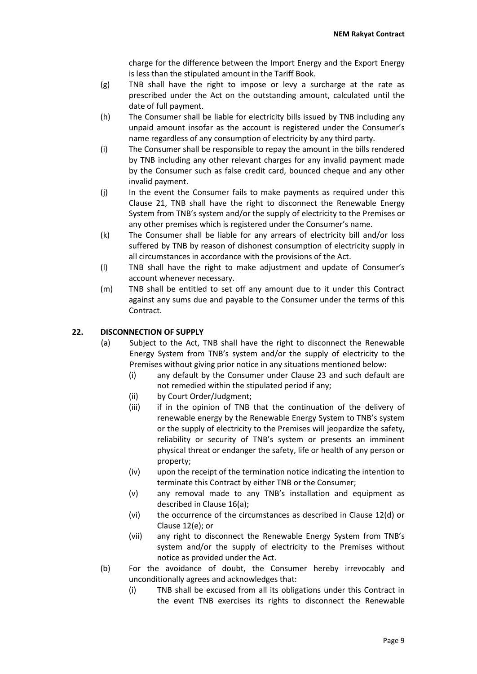charge for the difference between the Import Energy and the Export Energy is less than the stipulated amount in the Tariff Book.

- (g) TNB shall have the right to impose or levy a surcharge at the rate as prescribed under the Act on the outstanding amount, calculated until the date of full payment.
- (h) The Consumer shall be liable for electricity bills issued by TNB including any unpaid amount insofar as the account is registered under the Consumer's name regardless of any consumption of electricity by any third party.
- (i) The Consumer shall be responsible to repay the amount in the bills rendered by TNB including any other relevant charges for any invalid payment made by the Consumer such as false credit card, bounced cheque and any other invalid payment.
- (j) In the event the Consumer fails to make payments as required under this Clause 21, TNB shall have the right to disconnect the Renewable Energy System from TNB's system and/or the supply of electricity to the Premises or any other premises which is registered under the Consumer's name.
- (k) The Consumer shall be liable for any arrears of electricity bill and/or loss suffered by TNB by reason of dishonest consumption of electricity supply in all circumstances in accordance with the provisions of the Act.
- (l) TNB shall have the right to make adjustment and update of Consumer's account whenever necessary.
- (m) TNB shall be entitled to set off any amount due to it under this Contract against any sums due and payable to the Consumer under the terms of this Contract.

# **22. DISCONNECTION OF SUPPLY**

- (a) Subject to the Act, TNB shall have the right to disconnect the Renewable Energy System from TNB's system and/or the supply of electricity to the Premises without giving prior notice in any situations mentioned below:
	- (i) any default by the Consumer under Clause 23 and such default are not remedied within the stipulated period if any;
	- (ii) by Court Order/Judgment;
	- (iii) if in the opinion of TNB that the continuation of the delivery of renewable energy by the Renewable Energy System to TNB's system or the supply of electricity to the Premises will jeopardize the safety, reliability or security of TNB's system or presents an imminent physical threat or endanger the safety, life or health of any person or property;
	- (iv) upon the receipt of the termination notice indicating the intention to terminate this Contract by either TNB or the Consumer;
	- (v) any removal made to any TNB's installation and equipment as described in Clause 16(a);
	- (vi) the occurrence of the circumstances as described in Clause 12(d) or Clause 12(e); or
	- (vii) any right to disconnect the Renewable Energy System from TNB's system and/or the supply of electricity to the Premises without notice as provided under the Act.
- (b) For the avoidance of doubt, the Consumer hereby irrevocably and unconditionally agrees and acknowledges that:
	- (i) TNB shall be excused from all its obligations under this Contract in the event TNB exercises its rights to disconnect the Renewable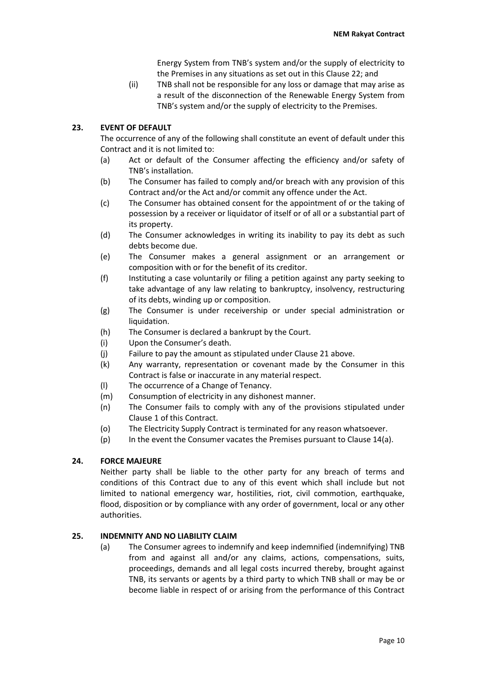Energy System from TNB's system and/or the supply of electricity to the Premises in any situations as set out in this Clause 22; and

(ii) TNB shall not be responsible for any loss or damage that may arise as a result of the disconnection of the Renewable Energy System from TNB's system and/or the supply of electricity to the Premises.

# **23. EVENT OF DEFAULT**

The occurrence of any of the following shall constitute an event of default under this Contract and it is not limited to:

- (a) Act or default of the Consumer affecting the efficiency and/or safety of TNB's installation.
- (b) The Consumer has failed to comply and/or breach with any provision of this Contract and/or the Act and/or commit any offence under the Act.
- (c) The Consumer has obtained consent for the appointment of or the taking of possession by a receiver or liquidator of itself or of all or a substantial part of its property.
- (d) The Consumer acknowledges in writing its inability to pay its debt as such debts become due.
- (e) The Consumer makes a general assignment or an arrangement or composition with or for the benefit of its creditor.
- (f) Instituting a case voluntarily or filing a petition against any party seeking to take advantage of any law relating to bankruptcy, insolvency, restructuring of its debts, winding up or composition.
- (g) The Consumer is under receivership or under special administration or liquidation.
- (h) The Consumer is declared a bankrupt by the Court.
- (i) Upon the Consumer's death.
- (j) Failure to pay the amount as stipulated under Clause 21 above.
- (k) Any warranty, representation or covenant made by the Consumer in this Contract is false or inaccurate in any material respect.
- (l) The occurrence of a Change of Tenancy.
- (m) Consumption of electricity in any dishonest manner.
- (n) The Consumer fails to comply with any of the provisions stipulated under Clause 1 of this Contract.
- (o) The Electricity Supply Contract is terminated for any reason whatsoever.
- $(p)$  In the event the Consumer vacates the Premises pursuant to Clause 14(a).

# **24. FORCE MAJEURE**

Neither party shall be liable to the other party for any breach of terms and conditions of this Contract due to any of this event which shall include but not limited to national emergency war, hostilities, riot, civil commotion, earthquake, flood, disposition or by compliance with any order of government, local or any other authorities.

### **25. INDEMNITY AND NO LIABILITY CLAIM**

(a) The Consumer agrees to indemnify and keep indemnified (indemnifying) TNB from and against all and/or any claims, actions, compensations, suits, proceedings, demands and all legal costs incurred thereby, brought against TNB, its servants or agents by a third party to which TNB shall or may be or become liable in respect of or arising from the performance of this Contract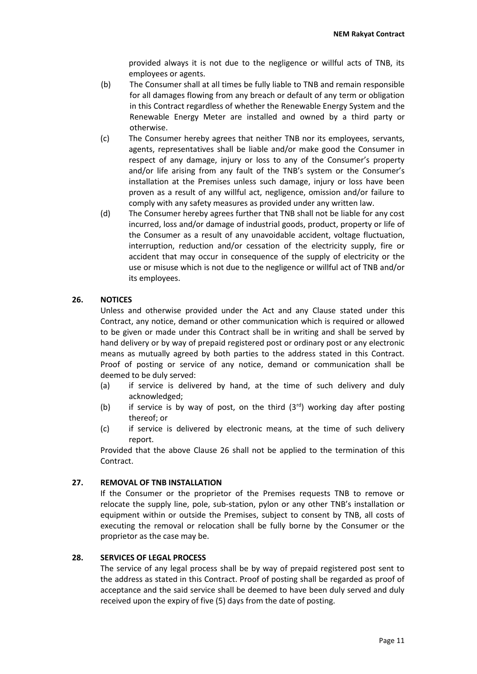provided always it is not due to the negligence or willful acts of TNB, its employees or agents.

- (b) The Consumer shall at all times be fully liable to TNB and remain responsible for all damages flowing from any breach or default of any term or obligation in this Contract regardless of whether the Renewable Energy System and the Renewable Energy Meter are installed and owned by a third party or otherwise.
- (c) The Consumer hereby agrees that neither TNB nor its employees, servants, agents, representatives shall be liable and/or make good the Consumer in respect of any damage, injury or loss to any of the Consumer's property and/or life arising from any fault of the TNB's system or the Consumer's installation at the Premises unless such damage, injury or loss have been proven as a result of any willful act, negligence, omission and/or failure to comply with any safety measures as provided under any written law.
- (d) The Consumer hereby agrees further that TNB shall not be liable for any cost incurred, loss and/or damage of industrial goods, product, property or life of the Consumer as a result of any unavoidable accident, voltage fluctuation, interruption, reduction and/or cessation of the electricity supply, fire or accident that may occur in consequence of the supply of electricity or the use or misuse which is not due to the negligence or willful act of TNB and/or its employees.

# **26. NOTICES**

Unless and otherwise provided under the Act and any Clause stated under this Contract, any notice, demand or other communication which is required or allowed to be given or made under this Contract shall be in writing and shall be served by hand delivery or by way of prepaid registered post or ordinary post or any electronic means as mutually agreed by both parties to the address stated in this Contract. Proof of posting or service of any notice, demand or communication shall be deemed to be duly served:

- (a) if service is delivered by hand, at the time of such delivery and duly acknowledged;
- (b) if service is by way of post, on the third  $(3^{rd})$  working day after posting thereof; or
- (c) if service is delivered by electronic means, at the time of such delivery report.

Provided that the above Clause 26 shall not be applied to the termination of this Contract.

### **27. REMOVAL OF TNB INSTALLATION**

If the Consumer or the proprietor of the Premises requests TNB to remove or relocate the supply line, pole, sub-station, pylon or any other TNB's installation or equipment within or outside the Premises, subject to consent by TNB, all costs of executing the removal or relocation shall be fully borne by the Consumer or the proprietor as the case may be.

### **28. SERVICES OF LEGAL PROCESS**

The service of any legal process shall be by way of prepaid registered post sent to the address as stated in this Contract. Proof of posting shall be regarded as proof of acceptance and the said service shall be deemed to have been duly served and duly received upon the expiry of five (5) days from the date of posting.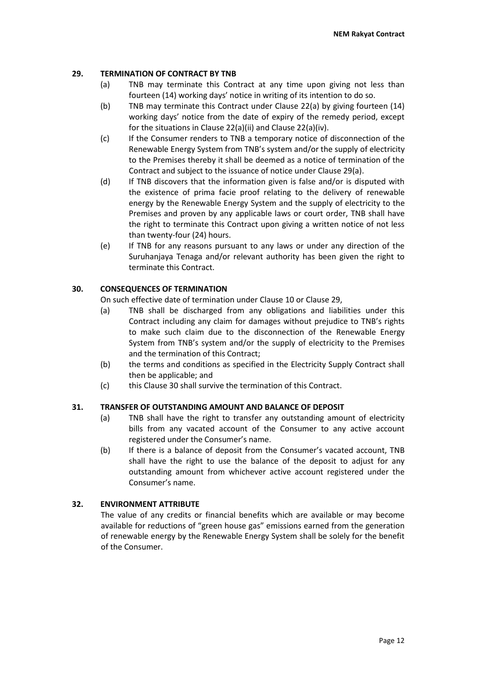# **29. TERMINATION OF CONTRACT BY TNB**

- (a) TNB may terminate this Contract at any time upon giving not less than fourteen (14) working days' notice in writing of its intention to do so.
- (b) TNB may terminate this Contract under Clause 22(a) by giving fourteen (14) working days' notice from the date of expiry of the remedy period, except for the situations in Clause 22(a)(ii) and Clause 22(a)(iv).
- (c) If the Consumer renders to TNB a temporary notice of disconnection of the Renewable Energy System from TNB's system and/or the supply of electricity to the Premises thereby it shall be deemed as a notice of termination of the Contract and subject to the issuance of notice under Clause 29(a).
- (d) If TNB discovers that the information given is false and/or is disputed with the existence of prima facie proof relating to the delivery of renewable energy by the Renewable Energy System and the supply of electricity to the Premises and proven by any applicable laws or court order, TNB shall have the right to terminate this Contract upon giving a written notice of not less than twenty-four (24) hours.
- (e) If TNB for any reasons pursuant to any laws or under any direction of the Suruhanjaya Tenaga and/or relevant authority has been given the right to terminate this Contract.

# **30. CONSEQUENCES OF TERMINATION**

On such effective date of termination under Clause 10 or Clause 29,

- (a) TNB shall be discharged from any obligations and liabilities under this Contract including any claim for damages without prejudice to TNB's rights to make such claim due to the disconnection of the Renewable Energy System from TNB's system and/or the supply of electricity to the Premises and the termination of this Contract;
- (b) the terms and conditions as specified in the Electricity Supply Contract shall then be applicable; and
- (c) this Clause 30 shall survive the termination of this Contract.

### **31. TRANSFER OF OUTSTANDING AMOUNT AND BALANCE OF DEPOSIT**

- (a) TNB shall have the right to transfer any outstanding amount of electricity bills from any vacated account of the Consumer to any active account registered under the Consumer's name.
- (b) If there is a balance of deposit from the Consumer's vacated account, TNB shall have the right to use the balance of the deposit to adjust for any outstanding amount from whichever active account registered under the Consumer's name.

# **32. ENVIRONMENT ATTRIBUTE**

The value of any credits or financial benefits which are available or may become available for reductions of "green house gas" emissions earned from the generation of renewable energy by the Renewable Energy System shall be solely for the benefit of the Consumer.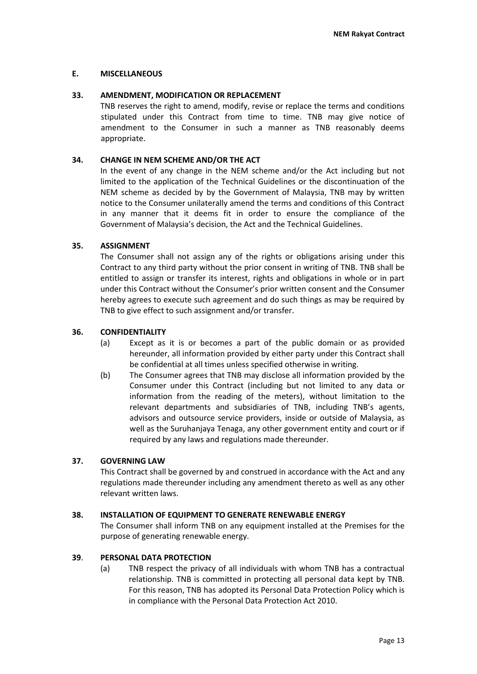# **E. MISCELLANEOUS**

# **33. AMENDMENT, MODIFICATION OR REPLACEMENT**

TNB reserves the right to amend, modify, revise or replace the terms and conditions stipulated under this Contract from time to time. TNB may give notice of amendment to the Consumer in such a manner as TNB reasonably deems appropriate.

## **34. CHANGE IN NEM SCHEME AND/OR THE ACT**

In the event of any change in the NEM scheme and/or the Act including but not limited to the application of the Technical Guidelines or the discontinuation of the NEM scheme as decided by by the Government of Malaysia, TNB may by written notice to the Consumer unilaterally amend the terms and conditions of this Contract in any manner that it deems fit in order to ensure the compliance of the Government of Malaysia's decision, the Act and the Technical Guidelines.

# **35. ASSIGNMENT**

The Consumer shall not assign any of the rights or obligations arising under this Contract to any third party without the prior consent in writing of TNB. TNB shall be entitled to assign or transfer its interest, rights and obligations in whole or in part under this Contract without the Consumer's prior written consent and the Consumer hereby agrees to execute such agreement and do such things as may be required by TNB to give effect to such assignment and/or transfer.

# **36. CONFIDENTIALITY**

- (a) Except as it is or becomes a part of the public domain or as provided hereunder, all information provided by either party under this Contract shall be confidential at all times unless specified otherwise in writing.
- (b) The Consumer agrees that TNB may disclose all information provided by the Consumer under this Contract (including but not limited to any data or information from the reading of the meters), without limitation to the relevant departments and subsidiaries of TNB, including TNB's agents, advisors and outsource service providers, inside or outside of Malaysia, as well as the Suruhanjaya Tenaga, any other government entity and court or if required by any laws and regulations made thereunder.

### **37. GOVERNING LAW**

This Contract shall be governed by and construed in accordance with the Act and any regulations made thereunder including any amendment thereto as well as any other relevant written laws.

### **38. INSTALLATION OF EQUIPMENT TO GENERATE RENEWABLE ENERGY**

The Consumer shall inform TNB on any equipment installed at the Premises for the purpose of generating renewable energy.

# **39**. **PERSONAL DATA PROTECTION**

(a) TNB respect the privacy of all individuals with whom TNB has a contractual relationship. TNB is committed in protecting all personal data kept by TNB. For this reason, TNB has adopted its Personal Data Protection Policy which is in compliance with the Personal Data Protection Act 2010.